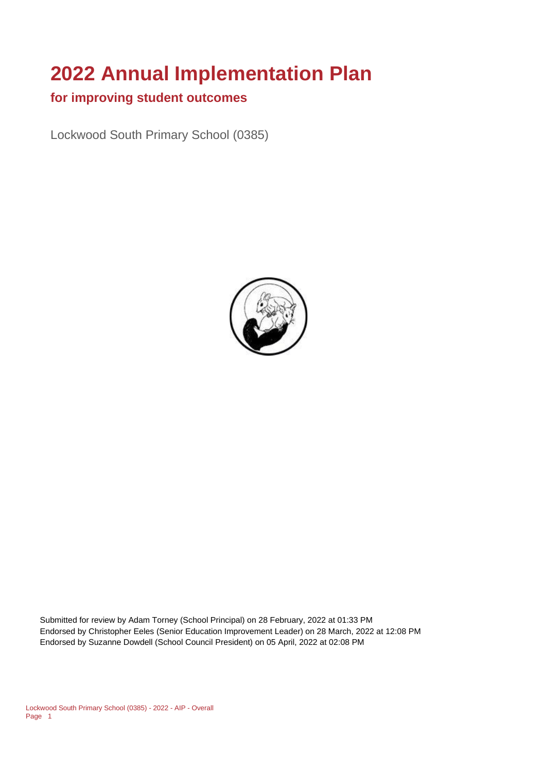# **2022 Annual Implementation Plan**

#### **for improving student outcomes**

Lockwood South Primary School (0385)



Submitted for review by Adam Torney (School Principal) on 28 February, 2022 at 01:33 PM Endorsed by Christopher Eeles (Senior Education Improvement Leader) on 28 March, 2022 at 12:08 PM Endorsed by Suzanne Dowdell (School Council President) on 05 April, 2022 at 02:08 PM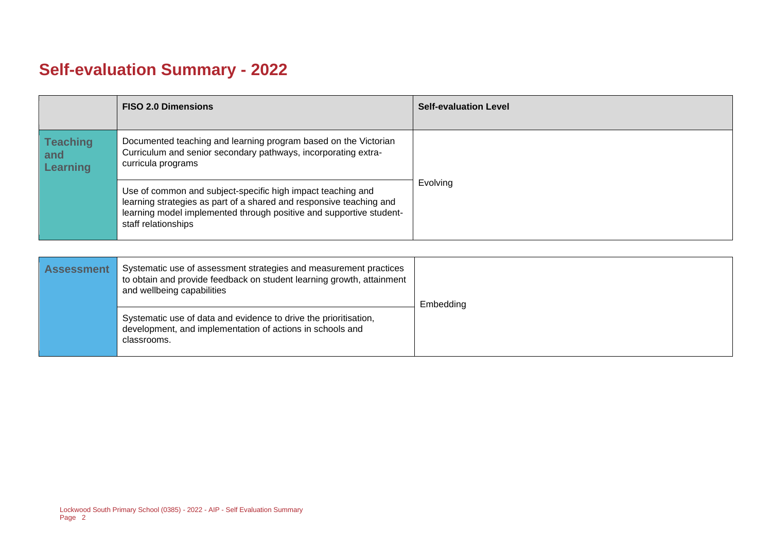## **Self-evaluation Summary - 2022**

|                                           | <b>FISO 2.0 Dimensions</b>                                                                                                                                                                                                       | <b>Self-evaluation Level</b> |
|-------------------------------------------|----------------------------------------------------------------------------------------------------------------------------------------------------------------------------------------------------------------------------------|------------------------------|
| <b>Teaching</b><br>and<br><b>Learning</b> | Documented teaching and learning program based on the Victorian<br>Curriculum and senior secondary pathways, incorporating extra-<br>curricula programs                                                                          |                              |
|                                           | Use of common and subject-specific high impact teaching and<br>learning strategies as part of a shared and responsive teaching and<br>learning model implemented through positive and supportive student-<br>staff relationships | Evolving                     |

| <b>Assessment</b> | Systematic use of assessment strategies and measurement practices<br>to obtain and provide feedback on student learning growth, attainment<br>and wellbeing capabilities | Embedding |
|-------------------|--------------------------------------------------------------------------------------------------------------------------------------------------------------------------|-----------|
|                   | Systematic use of data and evidence to drive the prioritisation,<br>development, and implementation of actions in schools and<br>classrooms.                             |           |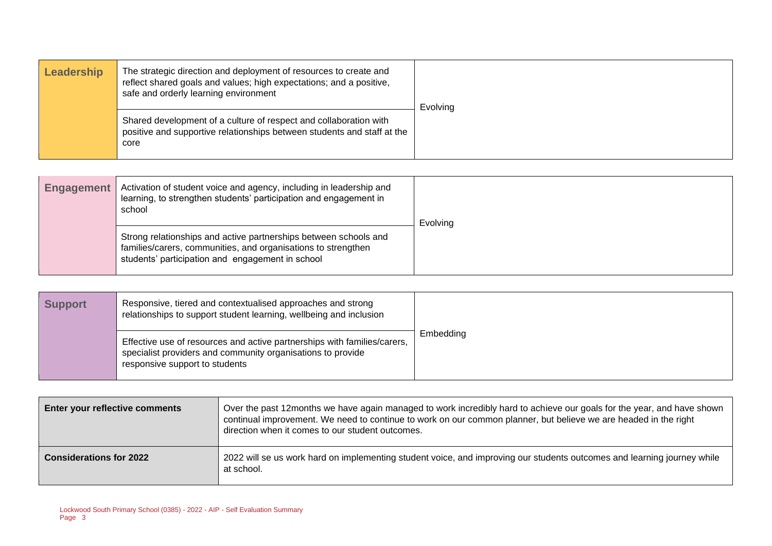| Leadership | The strategic direction and deployment of resources to create and<br>reflect shared goals and values; high expectations; and a positive,<br>safe and orderly learning environment | Evolving |
|------------|-----------------------------------------------------------------------------------------------------------------------------------------------------------------------------------|----------|
|            | Shared development of a culture of respect and collaboration with<br>positive and supportive relationships between students and staff at the<br>core                              |          |

| <b>Engagement</b> | Activation of student voice and agency, including in leadership and<br>learning, to strengthen students' participation and engagement in<br>school                                    | Evolving |
|-------------------|---------------------------------------------------------------------------------------------------------------------------------------------------------------------------------------|----------|
|                   | Strong relationships and active partnerships between schools and<br>families/carers, communities, and organisations to strengthen<br>students' participation and engagement in school |          |

| <b>Support</b> | Responsive, tiered and contextualised approaches and strong<br>relationships to support student learning, wellbeing and inclusion                                         |           |
|----------------|---------------------------------------------------------------------------------------------------------------------------------------------------------------------------|-----------|
|                | Effective use of resources and active partnerships with families/carers,<br>specialist providers and community organisations to provide<br>responsive support to students | Embedding |

| <b>Enter your reflective comments</b> | Over the past 12months we have again managed to work incredibly hard to achieve our goals for the year, and have shown<br>continual improvement. We need to continue to work on our common planner, but believe we are headed in the right<br>direction when it comes to our student outcomes. |  |
|---------------------------------------|------------------------------------------------------------------------------------------------------------------------------------------------------------------------------------------------------------------------------------------------------------------------------------------------|--|
| <b>Considerations for 2022</b>        | 2022 will se us work hard on implementing student voice, and improving our students outcomes and learning journey while<br>at school.                                                                                                                                                          |  |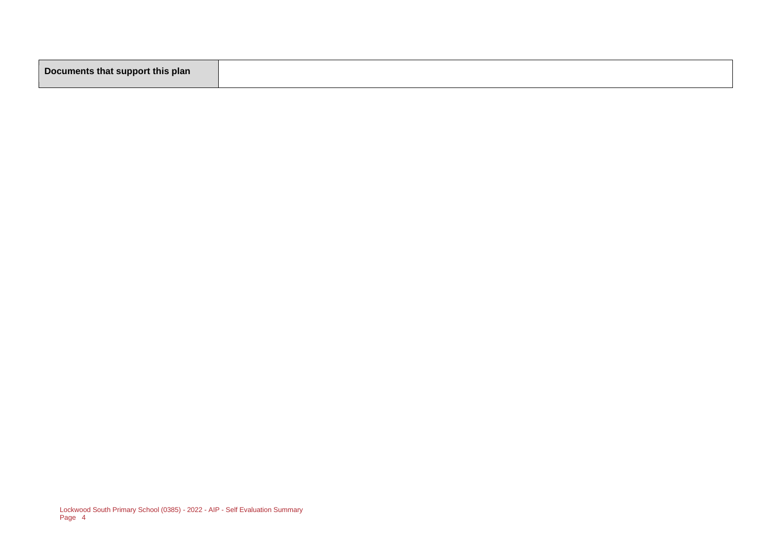|--|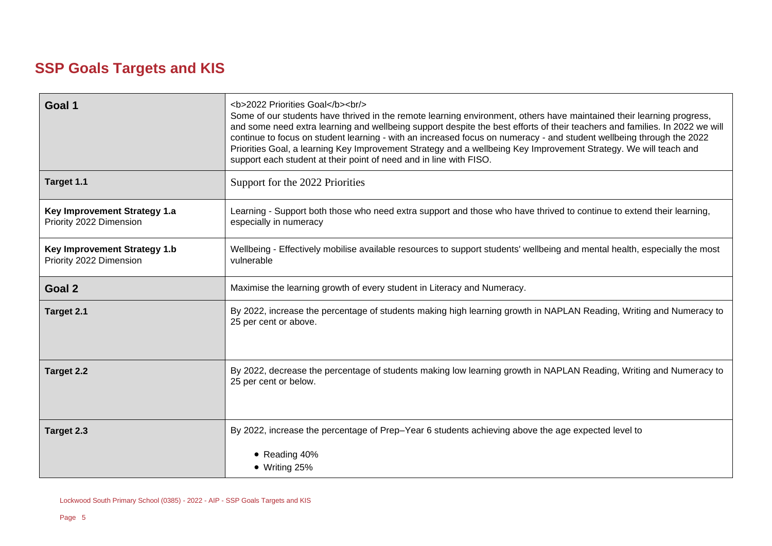## **SSP Goals Targets and KIS**

| Goal 1                                                         | <b>2022 Priorities Goal</b><br><br><br>Some of our students have thrived in the remote learning environment, others have maintained their learning progress,<br>and some need extra learning and wellbeing support despite the best efforts of their teachers and families. In 2022 we will<br>continue to focus on student learning - with an increased focus on numeracy - and student wellbeing through the 2022<br>Priorities Goal, a learning Key Improvement Strategy and a wellbeing Key Improvement Strategy. We will teach and<br>support each student at their point of need and in line with FISO. |  |  |
|----------------------------------------------------------------|---------------------------------------------------------------------------------------------------------------------------------------------------------------------------------------------------------------------------------------------------------------------------------------------------------------------------------------------------------------------------------------------------------------------------------------------------------------------------------------------------------------------------------------------------------------------------------------------------------------|--|--|
| Target 1.1                                                     | Support for the 2022 Priorities                                                                                                                                                                                                                                                                                                                                                                                                                                                                                                                                                                               |  |  |
| <b>Key Improvement Strategy 1.a</b><br>Priority 2022 Dimension | Learning - Support both those who need extra support and those who have thrived to continue to extend their learning,<br>especially in numeracy                                                                                                                                                                                                                                                                                                                                                                                                                                                               |  |  |
| <b>Key Improvement Strategy 1.b</b><br>Priority 2022 Dimension | Wellbeing - Effectively mobilise available resources to support students' wellbeing and mental health, especially the most<br>vulnerable                                                                                                                                                                                                                                                                                                                                                                                                                                                                      |  |  |
| Goal 2                                                         | Maximise the learning growth of every student in Literacy and Numeracy.                                                                                                                                                                                                                                                                                                                                                                                                                                                                                                                                       |  |  |
| Target 2.1                                                     | By 2022, increase the percentage of students making high learning growth in NAPLAN Reading, Writing and Numeracy to<br>25 per cent or above.                                                                                                                                                                                                                                                                                                                                                                                                                                                                  |  |  |
| Target 2.2                                                     | By 2022, decrease the percentage of students making low learning growth in NAPLAN Reading, Writing and Numeracy to<br>25 per cent or below.                                                                                                                                                                                                                                                                                                                                                                                                                                                                   |  |  |
| Target 2.3                                                     | By 2022, increase the percentage of Prep-Year 6 students achieving above the age expected level to                                                                                                                                                                                                                                                                                                                                                                                                                                                                                                            |  |  |
|                                                                | • Reading 40%<br>$\bullet$ Writing 25%                                                                                                                                                                                                                                                                                                                                                                                                                                                                                                                                                                        |  |  |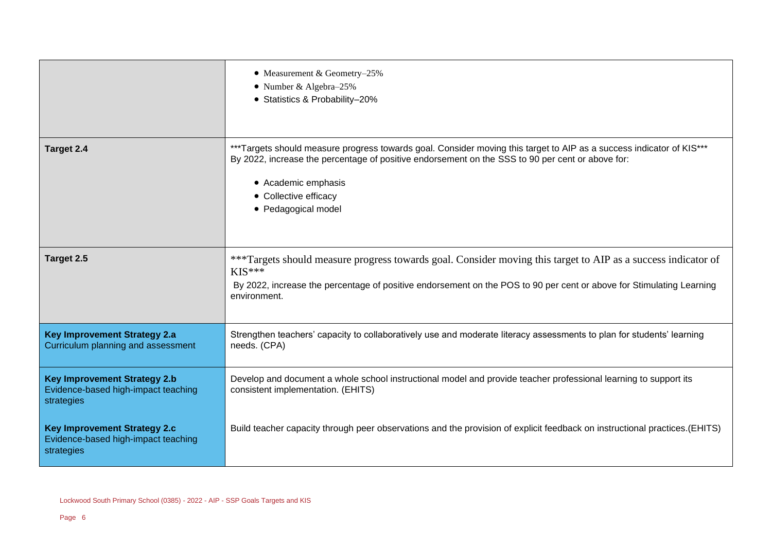|                                                                                          | • Measurement & Geometry-25%<br>• Number & Algebra-25%<br>• Statistics & Probability-20%                                                                                                                                                                                                        |
|------------------------------------------------------------------------------------------|-------------------------------------------------------------------------------------------------------------------------------------------------------------------------------------------------------------------------------------------------------------------------------------------------|
| Target 2.4                                                                               | ***Targets should measure progress towards goal. Consider moving this target to AIP as a success indicator of KIS***<br>By 2022, increase the percentage of positive endorsement on the SSS to 90 per cent or above for:<br>• Academic emphasis<br>• Collective efficacy<br>• Pedagogical model |
| Target 2.5                                                                               | ***Targets should measure progress towards goal. Consider moving this target to AIP as a success indicator of<br>$KIS***$<br>By 2022, increase the percentage of positive endorsement on the POS to 90 per cent or above for Stimulating Learning<br>environment.                               |
| <b>Key Improvement Strategy 2.a</b><br>Curriculum planning and assessment                | Strengthen teachers' capacity to collaboratively use and moderate literacy assessments to plan for students' learning<br>needs. (CPA)                                                                                                                                                           |
| <b>Key Improvement Strategy 2.b</b><br>Evidence-based high-impact teaching<br>strategies | Develop and document a whole school instructional model and provide teacher professional learning to support its<br>consistent implementation. (EHITS)                                                                                                                                          |
| <b>Key Improvement Strategy 2.c</b><br>Evidence-based high-impact teaching<br>strategies | Build teacher capacity through peer observations and the provision of explicit feedback on instructional practices. (EHITS)                                                                                                                                                                     |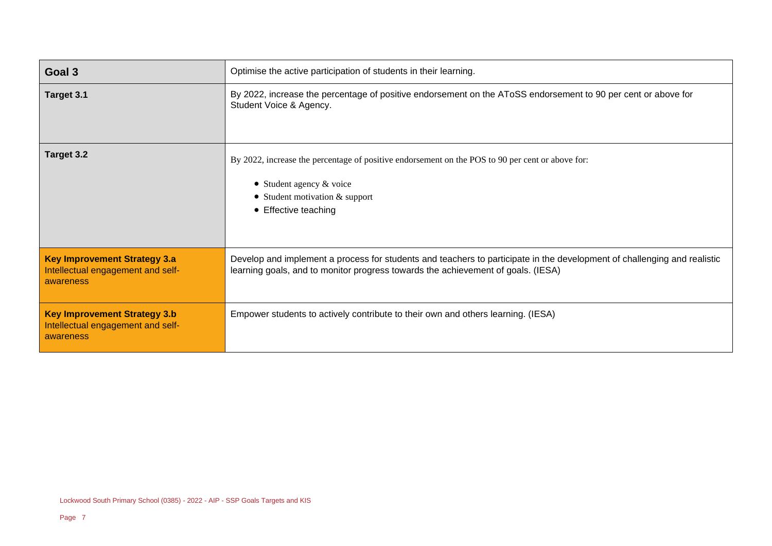| Goal 3                                                                                | Optimise the active participation of students in their learning.                                                                                                                                             |  |
|---------------------------------------------------------------------------------------|--------------------------------------------------------------------------------------------------------------------------------------------------------------------------------------------------------------|--|
| Target 3.1                                                                            | By 2022, increase the percentage of positive endorsement on the AToSS endorsement to 90 per cent or above for<br>Student Voice & Agency.                                                                     |  |
| Target 3.2                                                                            | By 2022, increase the percentage of positive endorsement on the POS to 90 per cent or above for:<br>Student agency & voice<br>$\bullet$<br>• Student motivation $&$ support<br>• Effective teaching          |  |
| <b>Key Improvement Strategy 3.a</b><br>Intellectual engagement and self-<br>awareness | Develop and implement a process for students and teachers to participate in the development of challenging and realistic<br>learning goals, and to monitor progress towards the achievement of goals. (IESA) |  |
| <b>Key Improvement Strategy 3.b</b><br>Intellectual engagement and self-<br>awareness | Empower students to actively contribute to their own and others learning. (IESA)                                                                                                                             |  |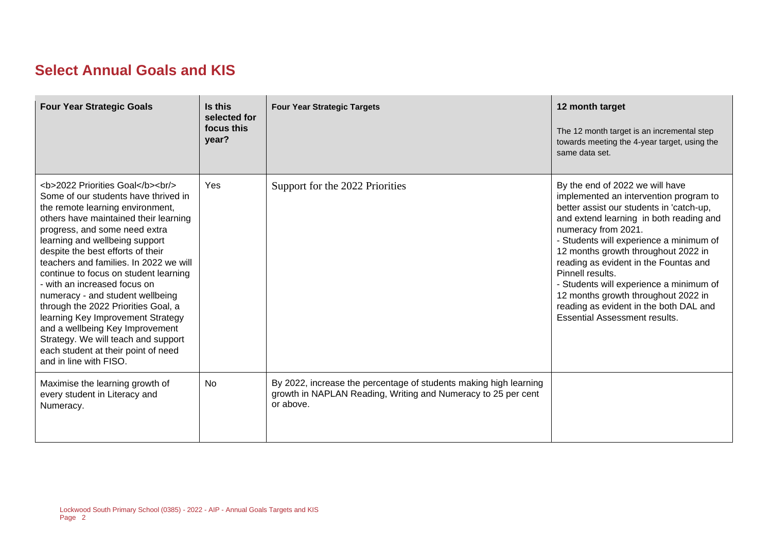## **Select Annual Goals and KIS**

| <b>Four Year Strategic Goals</b>                                                                                                                                                              | Is this<br>selected for<br>focus this<br>year? | <b>Four Year Strategic Targets</b>                                                                                                              | 12 month target<br>The 12 month target is an incremental step<br>towards meeting the 4-year target, using the<br>same data set.                                                                                                                                                                                                                                                                                                                                                                            |
|-----------------------------------------------------------------------------------------------------------------------------------------------------------------------------------------------|------------------------------------------------|-------------------------------------------------------------------------------------------------------------------------------------------------|------------------------------------------------------------------------------------------------------------------------------------------------------------------------------------------------------------------------------------------------------------------------------------------------------------------------------------------------------------------------------------------------------------------------------------------------------------------------------------------------------------|
| <b>2022 Priorities Goal</b><br><br><br>Some of our students have thrived in<br>the remote learning environment,<br>others have maintained their learning<br>progress, and some need extra<br> | Yes                                            | Support for the 2022 Priorities                                                                                                                 | By the end of 2022 we will have<br>implemented an intervention program to<br>better assist our students in 'catch-up,<br>and extend learning in both reading and<br>numeracy from 2021.<br>- Students will experience a minimum of<br>12 months growth throughout 2022 in<br>reading as evident in the Fountas and<br>Pinnell results.<br>- Students will experience a minimum of<br>12 months growth throughout 2022 in<br>reading as evident in the both DAL and<br><b>Essential Assessment results.</b> |
| Maximise the learning growth of<br>every student in Literacy and<br>Numeracy.                                                                                                                 | No.                                            | By 2022, increase the percentage of students making high learning<br>growth in NAPLAN Reading, Writing and Numeracy to 25 per cent<br>or above. |                                                                                                                                                                                                                                                                                                                                                                                                                                                                                                            |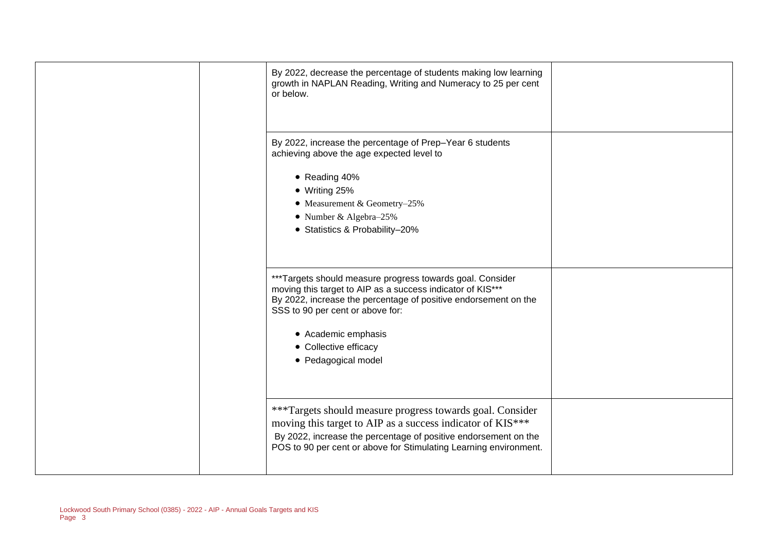| By 2022, decrease the percentage of students making low learning<br>growth in NAPLAN Reading, Writing and Numeracy to 25 per cent<br>or below.                                                                                                                                                        |  |
|-------------------------------------------------------------------------------------------------------------------------------------------------------------------------------------------------------------------------------------------------------------------------------------------------------|--|
| By 2022, increase the percentage of Prep-Year 6 students<br>achieving above the age expected level to<br>• Reading 40%<br>$\bullet$ Writing 25%<br>• Measurement & Geometry-25%<br>• Number & Algebra-25%<br>• Statistics & Probability-20%                                                           |  |
| ***Targets should measure progress towards goal. Consider<br>moving this target to AIP as a success indicator of KIS***<br>By 2022, increase the percentage of positive endorsement on the<br>SSS to 90 per cent or above for:<br>• Academic emphasis<br>• Collective efficacy<br>• Pedagogical model |  |
| ***Targets should measure progress towards goal. Consider<br>moving this target to AIP as a success indicator of KIS***<br>By 2022, increase the percentage of positive endorsement on the<br>POS to 90 per cent or above for Stimulating Learning environment.                                       |  |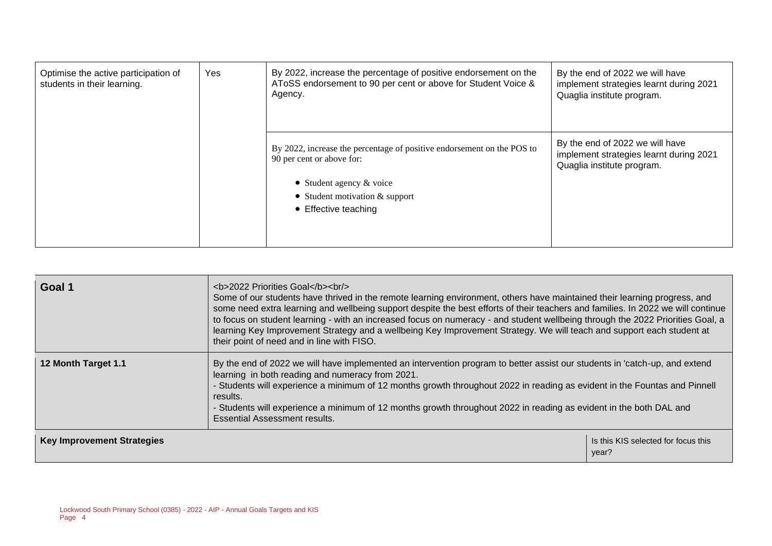| Optimise the active participation of<br>students in their learning. | Yes | By 2022, increase the percentage of positive endorsement on the<br>AToSS endorsement to 90 per cent or above for Student Voice &<br>Agency.                                                   | By the end of 2022 we will have<br>implement strategies learnt during 2021<br>Quaglia institute program. |
|---------------------------------------------------------------------|-----|-----------------------------------------------------------------------------------------------------------------------------------------------------------------------------------------------|----------------------------------------------------------------------------------------------------------|
|                                                                     |     | By 2022, increase the percentage of positive endorsement on the POS to<br>90 per cent or above for:<br>• Student agency $&$ voice<br>• Student motivation $&$ support<br>• Effective teaching | By the end of 2022 we will have<br>implement strategies learnt during 2021<br>Quaglia institute program. |

| Goal 1                            | <b>2022 Priorities Goal</b><br><br><br>Some of our students have thrived in the remote learning environment, others have maintained their learning progress, and<br>some need extra learning and wellbeing support despite the best efforts of their teachers and families. In 2022 we will continue<br>to focus on student learning - with an increased focus on numeracy - and student wellbeing through the 2022 Priorities Goal, a<br>learning Key Improvement Strategy and a wellbeing Key Improvement Strategy. We will teach and support each student at<br>their point of need and in line with FISO. |                                              |  |
|-----------------------------------|---------------------------------------------------------------------------------------------------------------------------------------------------------------------------------------------------------------------------------------------------------------------------------------------------------------------------------------------------------------------------------------------------------------------------------------------------------------------------------------------------------------------------------------------------------------------------------------------------------------|----------------------------------------------|--|
| 12 Month Target 1.1               | By the end of 2022 we will have implemented an intervention program to better assist our students in 'catch-up, and extend<br>learning in both reading and numeracy from 2021.<br>- Students will experience a minimum of 12 months growth throughout 2022 in reading as evident in the Fountas and Pinnell<br>results.<br>- Students will experience a minimum of 12 months growth throughout 2022 in reading as evident in the both DAL and<br>Essential Assessment results.                                                                                                                                |                                              |  |
| <b>Key Improvement Strategies</b> |                                                                                                                                                                                                                                                                                                                                                                                                                                                                                                                                                                                                               | Is this KIS selected for focus this<br>year? |  |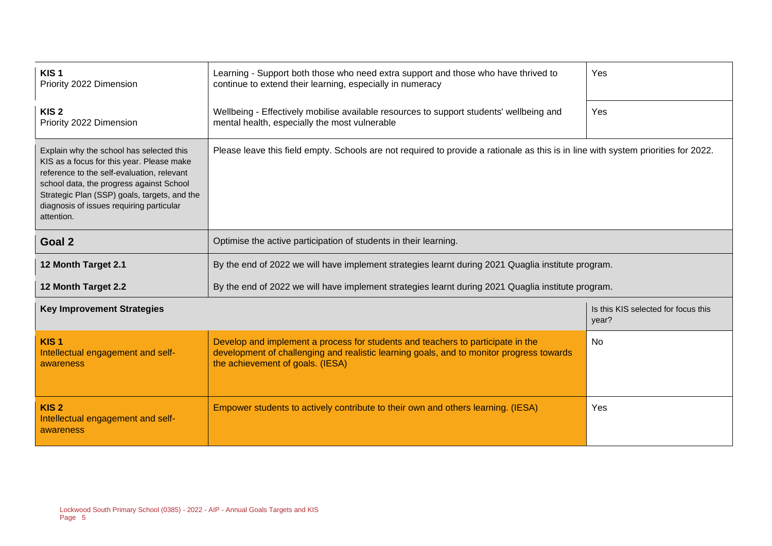| KIS <sub>1</sub><br>Priority 2022 Dimension                                                                                                                                                                                                                                               | Learning - Support both those who need extra support and those who have thrived to<br>continue to extend their learning, especially in numeracy                                                                 | Yes |  |  |
|-------------------------------------------------------------------------------------------------------------------------------------------------------------------------------------------------------------------------------------------------------------------------------------------|-----------------------------------------------------------------------------------------------------------------------------------------------------------------------------------------------------------------|-----|--|--|
| KIS <sub>2</sub><br>Priority 2022 Dimension                                                                                                                                                                                                                                               | Wellbeing - Effectively mobilise available resources to support students' wellbeing and<br>mental health, especially the most vulnerable                                                                        | Yes |  |  |
| Explain why the school has selected this<br>KIS as a focus for this year. Please make<br>reference to the self-evaluation, relevant<br>school data, the progress against School<br>Strategic Plan (SSP) goals, targets, and the<br>diagnosis of issues requiring particular<br>attention. | Please leave this field empty. Schools are not required to provide a rationale as this is in line with system priorities for 2022.                                                                              |     |  |  |
| Goal 2<br>Optimise the active participation of students in their learning.                                                                                                                                                                                                                |                                                                                                                                                                                                                 |     |  |  |
| 12 Month Target 2.1<br>By the end of 2022 we will have implement strategies learnt during 2021 Quaglia institute program.                                                                                                                                                                 |                                                                                                                                                                                                                 |     |  |  |
| By the end of 2022 we will have implement strategies learnt during 2021 Quaglia institute program.<br>12 Month Target 2.2                                                                                                                                                                 |                                                                                                                                                                                                                 |     |  |  |
| <b>Key Improvement Strategies</b>                                                                                                                                                                                                                                                         | Is this KIS selected for focus this<br>year?                                                                                                                                                                    |     |  |  |
| KIS <sub>1</sub><br>Intellectual engagement and self-<br>awareness                                                                                                                                                                                                                        | Develop and implement a process for students and teachers to participate in the<br>development of challenging and realistic learning goals, and to monitor progress towards<br>the achievement of goals. (IESA) | No  |  |  |
| KIS <sub>2</sub><br>Intellectual engagement and self-<br>awareness                                                                                                                                                                                                                        | Empower students to actively contribute to their own and others learning. (IESA)                                                                                                                                | Yes |  |  |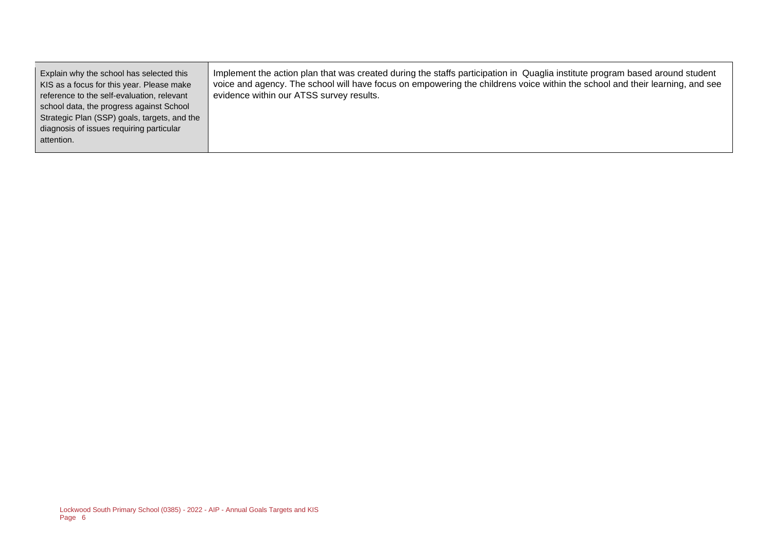Explain why the school has selected this KIS as a focus for this year. Please make reference to the self-evaluation, relevant school data, the progress against School Strategic Plan (SSP) goals, targets, and the diagnosis of issues requiring particular attention. Implement the action plan that was created during the staffs participation in Quaglia institute program based around student voice and agency. The school will have focus on empowering the childrens voice within the school and their learning, and see evidence within our ATSS survey results.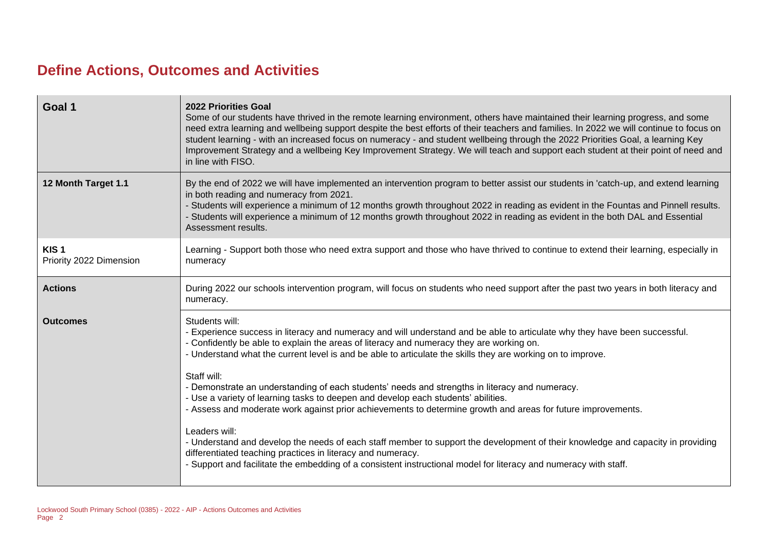## **Define Actions, Outcomes and Activities**

| <b>2022 Priorities Goal</b><br>Some of our students have thrived in the remote learning environment, others have maintained their learning progress, and some<br>need extra learning and wellbeing support despite the best efforts of their teachers and families. In 2022 we will continue to focus on<br>student learning - with an increased focus on numeracy - and student wellbeing through the 2022 Priorities Goal, a learning Key<br>Improvement Strategy and a wellbeing Key Improvement Strategy. We will teach and support each student at their point of need and<br>in line with FISO.                                                                                                                                                                                                                                                                                                                                                                                                                |
|----------------------------------------------------------------------------------------------------------------------------------------------------------------------------------------------------------------------------------------------------------------------------------------------------------------------------------------------------------------------------------------------------------------------------------------------------------------------------------------------------------------------------------------------------------------------------------------------------------------------------------------------------------------------------------------------------------------------------------------------------------------------------------------------------------------------------------------------------------------------------------------------------------------------------------------------------------------------------------------------------------------------|
| By the end of 2022 we will have implemented an intervention program to better assist our students in 'catch-up, and extend learning<br>in both reading and numeracy from 2021.<br>- Students will experience a minimum of 12 months growth throughout 2022 in reading as evident in the Fountas and Pinnell results.<br>- Students will experience a minimum of 12 months growth throughout 2022 in reading as evident in the both DAL and Essential<br>Assessment results.                                                                                                                                                                                                                                                                                                                                                                                                                                                                                                                                          |
| Learning - Support both those who need extra support and those who have thrived to continue to extend their learning, especially in<br>numeracy                                                                                                                                                                                                                                                                                                                                                                                                                                                                                                                                                                                                                                                                                                                                                                                                                                                                      |
| During 2022 our schools intervention program, will focus on students who need support after the past two years in both literacy and<br>numeracy.                                                                                                                                                                                                                                                                                                                                                                                                                                                                                                                                                                                                                                                                                                                                                                                                                                                                     |
| Students will:<br>- Experience success in literacy and numeracy and will understand and be able to articulate why they have been successful.<br>- Confidently be able to explain the areas of literacy and numeracy they are working on.<br>- Understand what the current level is and be able to articulate the skills they are working on to improve.<br>Staff will:<br>- Demonstrate an understanding of each students' needs and strengths in literacy and numeracy.<br>- Use a variety of learning tasks to deepen and develop each students' abilities.<br>- Assess and moderate work against prior achievements to determine growth and areas for future improvements.<br>Leaders will:<br>- Understand and develop the needs of each staff member to support the development of their knowledge and capacity in providing<br>differentiated teaching practices in literacy and numeracy.<br>- Support and facilitate the embedding of a consistent instructional model for literacy and numeracy with staff. |
|                                                                                                                                                                                                                                                                                                                                                                                                                                                                                                                                                                                                                                                                                                                                                                                                                                                                                                                                                                                                                      |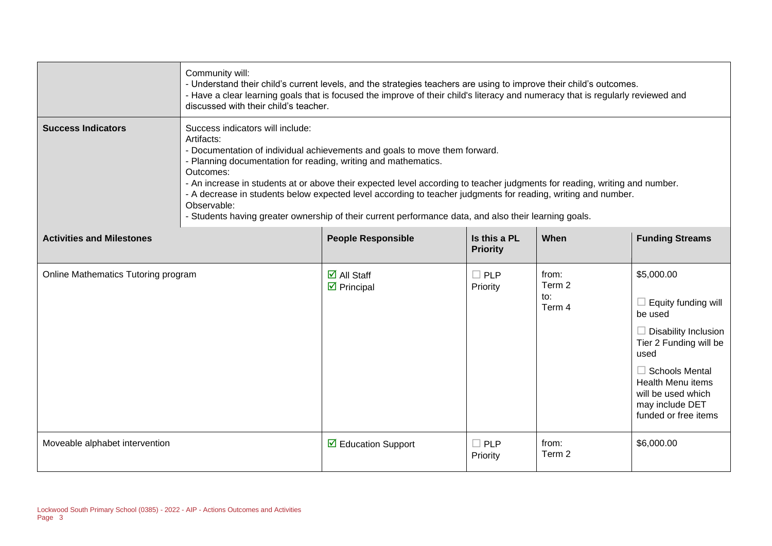|                                     | Community will:<br>- Understand their child's current levels, and the strategies teachers are using to improve their child's outcomes.<br>- Have a clear learning goals that is focused the improve of their child's literacy and numeracy that is regularly reviewed and<br>discussed with their child's teacher.                                                                                                                                                                                                                                                                 |                                                                |                                 |                                  |                                                                                                                                                                                                                                            |
|-------------------------------------|------------------------------------------------------------------------------------------------------------------------------------------------------------------------------------------------------------------------------------------------------------------------------------------------------------------------------------------------------------------------------------------------------------------------------------------------------------------------------------------------------------------------------------------------------------------------------------|----------------------------------------------------------------|---------------------------------|----------------------------------|--------------------------------------------------------------------------------------------------------------------------------------------------------------------------------------------------------------------------------------------|
| <b>Success Indicators</b>           | Success indicators will include:<br>Artifacts:<br>- Documentation of individual achievements and goals to move them forward.<br>- Planning documentation for reading, writing and mathematics.<br>Outcomes:<br>- An increase in students at or above their expected level according to teacher judgments for reading, writing and number.<br>- A decrease in students below expected level according to teacher judgments for reading, writing and number.<br>Observable:<br>- Students having greater ownership of their current performance data, and also their learning goals. |                                                                |                                 |                                  |                                                                                                                                                                                                                                            |
| <b>Activities and Milestones</b>    |                                                                                                                                                                                                                                                                                                                                                                                                                                                                                                                                                                                    | <b>People Responsible</b>                                      | Is this a PL<br><b>Priority</b> | When                             | <b>Funding Streams</b>                                                                                                                                                                                                                     |
| Online Mathematics Tutoring program |                                                                                                                                                                                                                                                                                                                                                                                                                                                                                                                                                                                    | $\overline{\mathbf{z}}$ All Staff<br>$\triangledown$ Principal | $\Box$ PLP<br>Priority          | from:<br>Term 2<br>to:<br>Term 4 | \$5,000.00<br>$\Box$ Equity funding will<br>be used<br>$\Box$ Disability Inclusion<br>Tier 2 Funding will be<br>used<br>$\Box$ Schools Mental<br><b>Health Menu items</b><br>will be used which<br>may include DET<br>funded or free items |
| Moveable alphabet intervention      |                                                                                                                                                                                                                                                                                                                                                                                                                                                                                                                                                                                    | $\triangleright$ Education Support                             | $\Box$ PLP<br>Priority          | from:<br>Term 2                  | \$6,000.00                                                                                                                                                                                                                                 |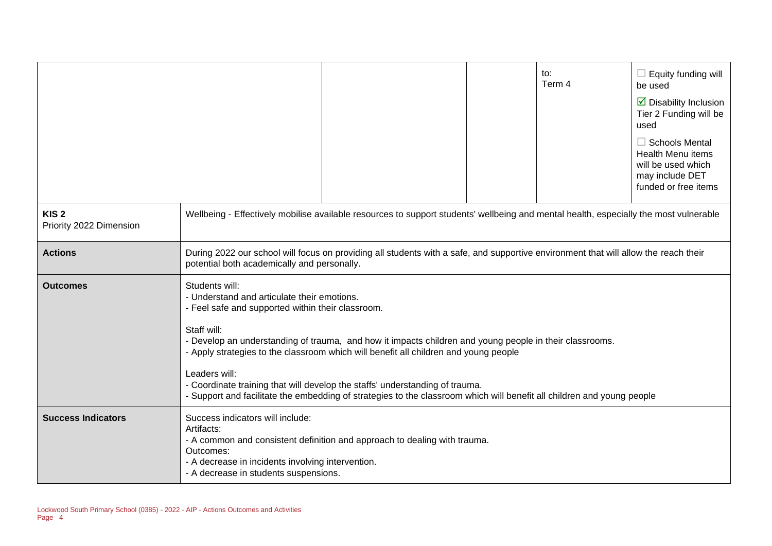|                                             |                                                                                                                                                                                                                                                                                                                                                                                                                                                                                                                                                                 |  |  | to:<br>Term 4 | $\Box$ Equity funding will<br>be used<br>$\triangleright$ Disability Inclusion<br>Tier 2 Funding will be<br>used<br>$\Box$ Schools Mental<br><b>Health Menu items</b><br>will be used which<br>may include DET<br>funded or free items |
|---------------------------------------------|-----------------------------------------------------------------------------------------------------------------------------------------------------------------------------------------------------------------------------------------------------------------------------------------------------------------------------------------------------------------------------------------------------------------------------------------------------------------------------------------------------------------------------------------------------------------|--|--|---------------|----------------------------------------------------------------------------------------------------------------------------------------------------------------------------------------------------------------------------------------|
| KIS <sub>2</sub><br>Priority 2022 Dimension | Wellbeing - Effectively mobilise available resources to support students' wellbeing and mental health, especially the most vulnerable                                                                                                                                                                                                                                                                                                                                                                                                                           |  |  |               |                                                                                                                                                                                                                                        |
| <b>Actions</b>                              | During 2022 our school will focus on providing all students with a safe, and supportive environment that will allow the reach their<br>potential both academically and personally.                                                                                                                                                                                                                                                                                                                                                                              |  |  |               |                                                                                                                                                                                                                                        |
| <b>Outcomes</b>                             | Students will:<br>- Understand and articulate their emotions.<br>- Feel safe and supported within their classroom.<br>Staff will:<br>- Develop an understanding of trauma, and how it impacts children and young people in their classrooms.<br>- Apply strategies to the classroom which will benefit all children and young people<br>Leaders will:<br>- Coordinate training that will develop the staffs' understanding of trauma.<br>- Support and facilitate the embedding of strategies to the classroom which will benefit all children and young people |  |  |               |                                                                                                                                                                                                                                        |
| <b>Success Indicators</b>                   | Success indicators will include:<br>Artifacts:<br>- A common and consistent definition and approach to dealing with trauma.<br>Outcomes:<br>- A decrease in incidents involving intervention.<br>- A decrease in students suspensions.                                                                                                                                                                                                                                                                                                                          |  |  |               |                                                                                                                                                                                                                                        |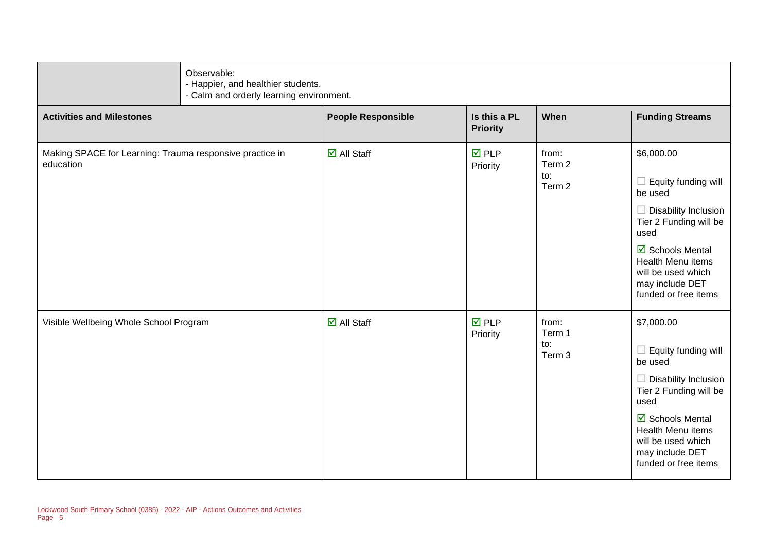| Observable:                                                           | - Happier, and healthier students.<br>- Calm and orderly learning environment. |                                 |                                  |                                                                                                                                                                                                                                                      |  |
|-----------------------------------------------------------------------|--------------------------------------------------------------------------------|---------------------------------|----------------------------------|------------------------------------------------------------------------------------------------------------------------------------------------------------------------------------------------------------------------------------------------------|--|
| <b>Activities and Milestones</b>                                      | <b>People Responsible</b>                                                      | Is this a PL<br><b>Priority</b> | When                             | <b>Funding Streams</b>                                                                                                                                                                                                                               |  |
| Making SPACE for Learning: Trauma responsive practice in<br>education | $\boxtimes$ All Staff                                                          | $\overline{M}$ PLP<br>Priority  | from:<br>Term 2<br>to:<br>Term 2 | \$6,000.00<br>$\Box$ Equity funding will<br>be used<br>$\Box$ Disability Inclusion<br>Tier 2 Funding will be<br>used<br>☑ Schools Mental<br>Health Menu items<br>will be used which<br>may include DET<br>funded or free items                       |  |
| Visible Wellbeing Whole School Program                                | $\overline{\mathbf{M}}$ All Staff                                              | $\overline{M}$ PLP<br>Priority  | from:<br>Term 1<br>to:<br>Term 3 | \$7,000.00<br>$\Box$ Equity funding will<br>be used<br>$\Box$ Disability Inclusion<br>Tier 2 Funding will be<br>used<br>$\overline{\mathbf{M}}$ Schools Mental<br>Health Menu items<br>will be used which<br>may include DET<br>funded or free items |  |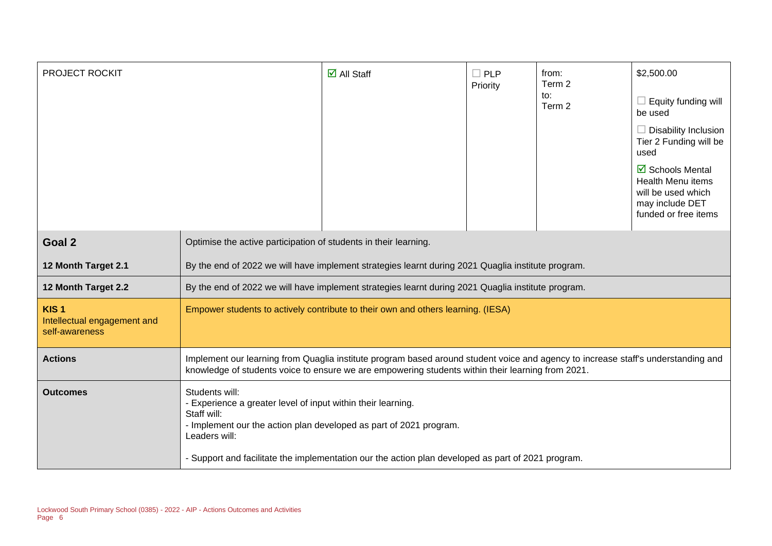| PROJECT ROCKIT                                                    |                                                                                                                                                                                                                                        | $\overline{\mathbf{M}}$ All Staff                                                                                                                                        | $\Box$ PLP<br>Priority | from:<br>Term 2<br>to:<br>Term 2 | \$2,500.00<br>Equity funding will<br>be used<br><b>Disability Inclusion</b><br>Tier 2 Funding will be<br>used<br>☑ Schools Mental<br>Health Menu items<br>will be used which<br>may include DET<br>funded or free items |
|-------------------------------------------------------------------|----------------------------------------------------------------------------------------------------------------------------------------------------------------------------------------------------------------------------------------|--------------------------------------------------------------------------------------------------------------------------------------------------------------------------|------------------------|----------------------------------|-------------------------------------------------------------------------------------------------------------------------------------------------------------------------------------------------------------------------|
| Goal 2                                                            | Optimise the active participation of students in their learning.                                                                                                                                                                       |                                                                                                                                                                          |                        |                                  |                                                                                                                                                                                                                         |
| 12 Month Target 2.1                                               | By the end of 2022 we will have implement strategies learnt during 2021 Quaglia institute program.                                                                                                                                     |                                                                                                                                                                          |                        |                                  |                                                                                                                                                                                                                         |
| 12 Month Target 2.2                                               | By the end of 2022 we will have implement strategies learnt during 2021 Quaglia institute program.                                                                                                                                     |                                                                                                                                                                          |                        |                                  |                                                                                                                                                                                                                         |
| KIS <sub>1</sub><br>Intellectual engagement and<br>self-awareness | Empower students to actively contribute to their own and others learning. (IESA)                                                                                                                                                       |                                                                                                                                                                          |                        |                                  |                                                                                                                                                                                                                         |
| <b>Actions</b>                                                    | Implement our learning from Quaglia institute program based around student voice and agency to increase staff's understanding and<br>knowledge of students voice to ensure we are empowering students within their learning from 2021. |                                                                                                                                                                          |                        |                                  |                                                                                                                                                                                                                         |
| <b>Outcomes</b>                                                   | Students will:<br>- Experience a greater level of input within their learning.<br>Staff will:<br>Leaders will:                                                                                                                         | - Implement our the action plan developed as part of 2021 program.<br>- Support and facilitate the implementation our the action plan developed as part of 2021 program. |                        |                                  |                                                                                                                                                                                                                         |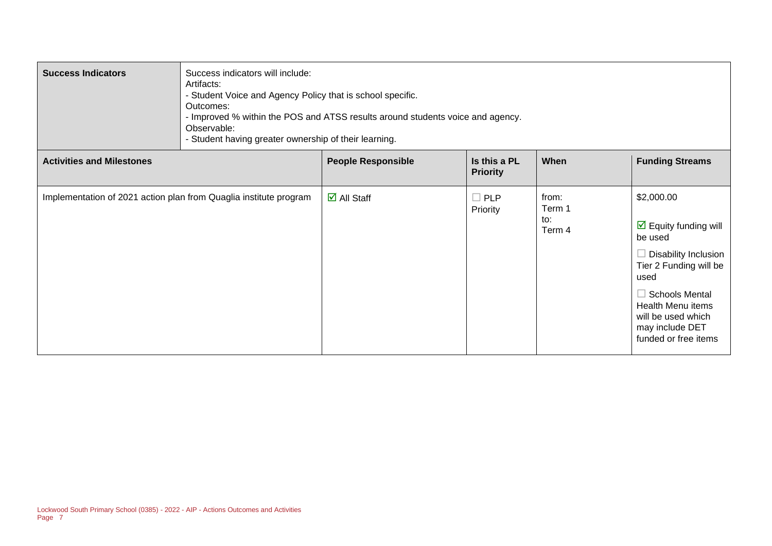| <b>Success Indicators</b>                                         | Success indicators will include:<br>Artifacts:<br>- Student Voice and Agency Policy that is school specific.<br>Outcomes:<br>- Improved % within the POS and ATSS results around students voice and agency.<br>Observable:<br>- Student having greater ownership of their learning. |                                   |                                 |                                  |                                                                                                                                                                                                                                               |
|-------------------------------------------------------------------|-------------------------------------------------------------------------------------------------------------------------------------------------------------------------------------------------------------------------------------------------------------------------------------|-----------------------------------|---------------------------------|----------------------------------|-----------------------------------------------------------------------------------------------------------------------------------------------------------------------------------------------------------------------------------------------|
| <b>Activities and Milestones</b>                                  |                                                                                                                                                                                                                                                                                     | <b>People Responsible</b>         | Is this a PL<br><b>Priority</b> | When                             | <b>Funding Streams</b>                                                                                                                                                                                                                        |
| Implementation of 2021 action plan from Quaglia institute program |                                                                                                                                                                                                                                                                                     | $\overline{\mathsf{d}}$ All Staff | $\square$ PLP<br>Priority       | from:<br>Term 1<br>to:<br>Term 4 | \$2,000.00<br>$\triangleright$ Equity funding will<br>be used<br>$\Box$ Disability Inclusion<br>Tier 2 Funding will be<br>used<br>$\Box$ Schools Mental<br>Health Menu items<br>will be used which<br>may include DET<br>funded or free items |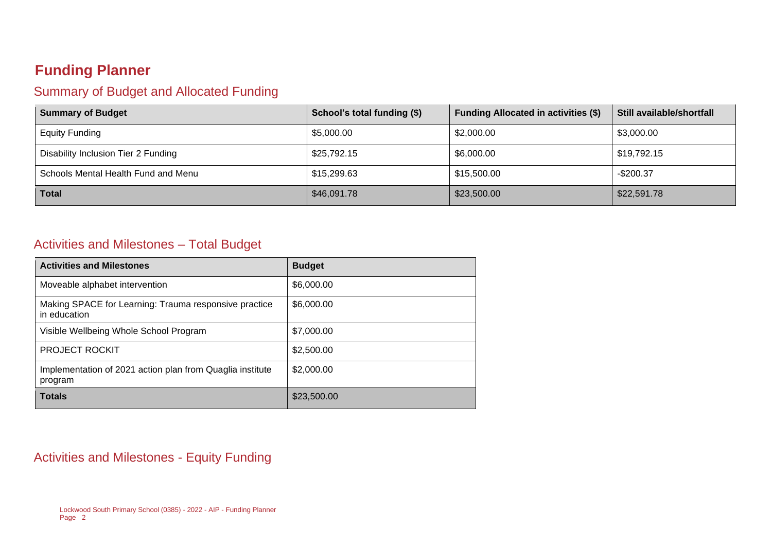## **Funding Planner**

#### Summary of Budget and Allocated Funding

| <b>Summary of Budget</b>            | School's total funding (\$) | <b>Funding Allocated in activities (\$)</b> | Still available/shortfall |
|-------------------------------------|-----------------------------|---------------------------------------------|---------------------------|
| <b>Equity Funding</b>               | \$5,000.00                  | \$2,000.00                                  | \$3,000.00                |
| Disability Inclusion Tier 2 Funding | \$25,792.15                 | \$6,000.00                                  | \$19,792.15               |
| Schools Mental Health Fund and Menu | \$15,299.63                 | \$15,500.00                                 | $-$200.37$                |
| <b>Total</b>                        | \$46,091.78                 | \$23,500.00                                 | \$22,591.78               |

#### Activities and Milestones – Total Budget

| <b>Activities and Milestones</b>                                      | <b>Budget</b> |
|-----------------------------------------------------------------------|---------------|
| Moveable alphabet intervention                                        | \$6,000.00    |
| Making SPACE for Learning: Trauma responsive practice<br>in education | \$6,000.00    |
| Visible Wellbeing Whole School Program                                | \$7,000.00    |
| <b>PROJECT ROCKIT</b>                                                 | \$2,500.00    |
| Implementation of 2021 action plan from Quaglia institute<br>program  | \$2,000.00    |
| <b>Totals</b>                                                         | \$23,500.00   |

#### Activities and Milestones - Equity Funding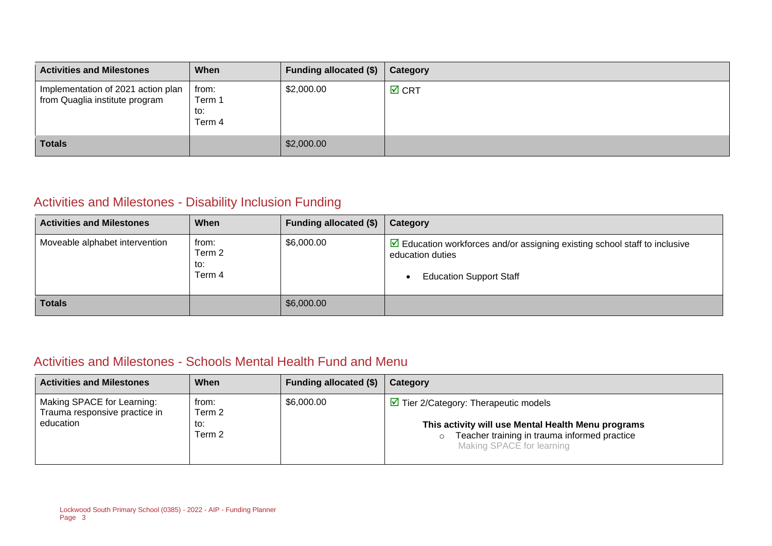| <b>Activities and Milestones</b>                                     | When                             | <b>Funding allocated (\$)</b> | Category        |
|----------------------------------------------------------------------|----------------------------------|-------------------------------|-----------------|
| Implementation of 2021 action plan<br>from Quaglia institute program | from:<br>Term 1<br>to:<br>Term 4 | \$2,000.00                    | $\boxtimes$ CRT |
| <b>Totals</b>                                                        |                                  | \$2,000.00                    |                 |

#### Activities and Milestones - Disability Inclusion Funding

| <b>Activities and Milestones</b> | When                             | <b>Funding allocated (\$)</b> | Category                                                                                                                                                     |
|----------------------------------|----------------------------------|-------------------------------|--------------------------------------------------------------------------------------------------------------------------------------------------------------|
| Moveable alphabet intervention   | from:<br>Term 2<br>to:<br>Term 4 | \$6,000.00                    | $\triangleright$ Education workforces and/or assigning existing school staff to inclusive<br>education duties<br><b>Education Support Staff</b><br>$\bullet$ |
| <b>Totals</b>                    |                                  | \$6,000.00                    |                                                                                                                                                              |

#### Activities and Milestones - Schools Mental Health Fund and Menu

| <b>Activities and Milestones</b>                                         | When                             | Funding allocated (\$) | Category                                                                                                                                                                                           |
|--------------------------------------------------------------------------|----------------------------------|------------------------|----------------------------------------------------------------------------------------------------------------------------------------------------------------------------------------------------|
| Making SPACE for Learning:<br>Trauma responsive practice in<br>education | from:<br>Term 2<br>to:<br>Term 2 | \$6,000.00             | $\triangleright$ Tier 2/Category: Therapeutic models<br>This activity will use Mental Health Menu programs<br>Teacher training in trauma informed practice<br>$\circ$<br>Making SPACE for learning |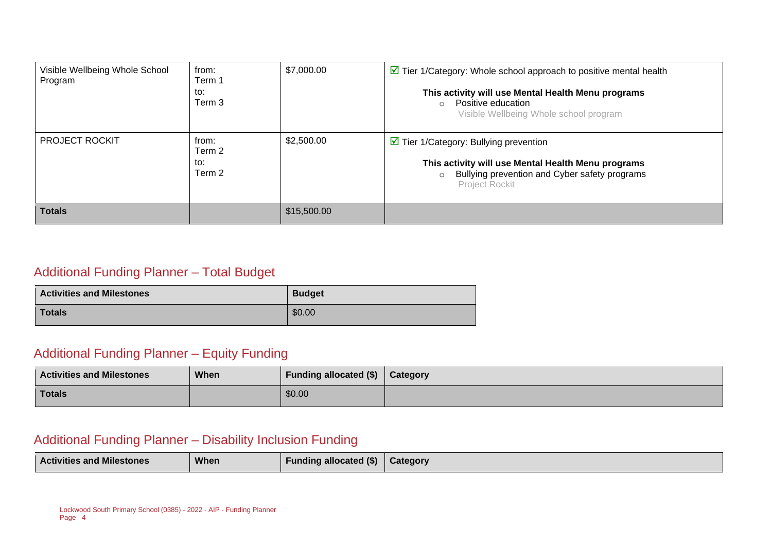| Visible Wellbeing Whole School<br>Program | from:<br>Term 1<br>to:<br>Term 3 | \$7,000.00  | $\triangleright$ Tier 1/Category: Whole school approach to positive mental health<br>This activity will use Mental Health Menu programs<br>Positive education<br>$\circ$<br>Visible Wellbeing Whole school program |  |
|-------------------------------------------|----------------------------------|-------------|--------------------------------------------------------------------------------------------------------------------------------------------------------------------------------------------------------------------|--|
| <b>PROJECT ROCKIT</b>                     | from:<br>Term 2<br>to:<br>Term 2 | \$2,500.00  | $\triangleright$ Tier 1/Category: Bullying prevention<br>This activity will use Mental Health Menu programs<br>Bullying prevention and Cyber safety programs<br>$\circ$<br>Project Rockit                          |  |
| <b>Totals</b>                             |                                  | \$15,500.00 |                                                                                                                                                                                                                    |  |

#### Additional Funding Planner – Total Budget

| <b>Activities and Milestones</b> | <b>Budget</b> |  |
|----------------------------------|---------------|--|
| Totals                           | \$0.00        |  |

#### Additional Funding Planner – Equity Funding

| <b>Activities and Milestones</b> | When | Funding allocated (\$) | <b>Category</b> |
|----------------------------------|------|------------------------|-----------------|
| <b>Totals</b>                    |      | \$0.00                 |                 |

#### Additional Funding Planner – Disability Inclusion Funding

| <b>Activities and Milestones</b> | <b>When</b> | Funding allocated (\$) | <b>Category</b> |
|----------------------------------|-------------|------------------------|-----------------|
|                                  |             |                        |                 |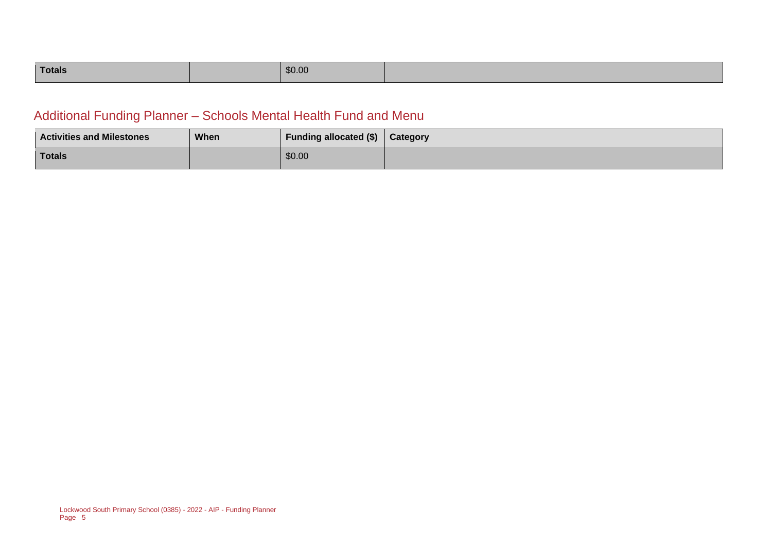| Totals |  | \$0.00 |  |
|--------|--|--------|--|
|--------|--|--------|--|

#### Additional Funding Planner – Schools Mental Health Fund and Menu

| <b>Activities and Milestones</b> | <b>When</b> | <b>Funding allocated (\$)</b> | <b>Category</b> |
|----------------------------------|-------------|-------------------------------|-----------------|
| <b>Totals</b>                    |             | \$0.00                        |                 |